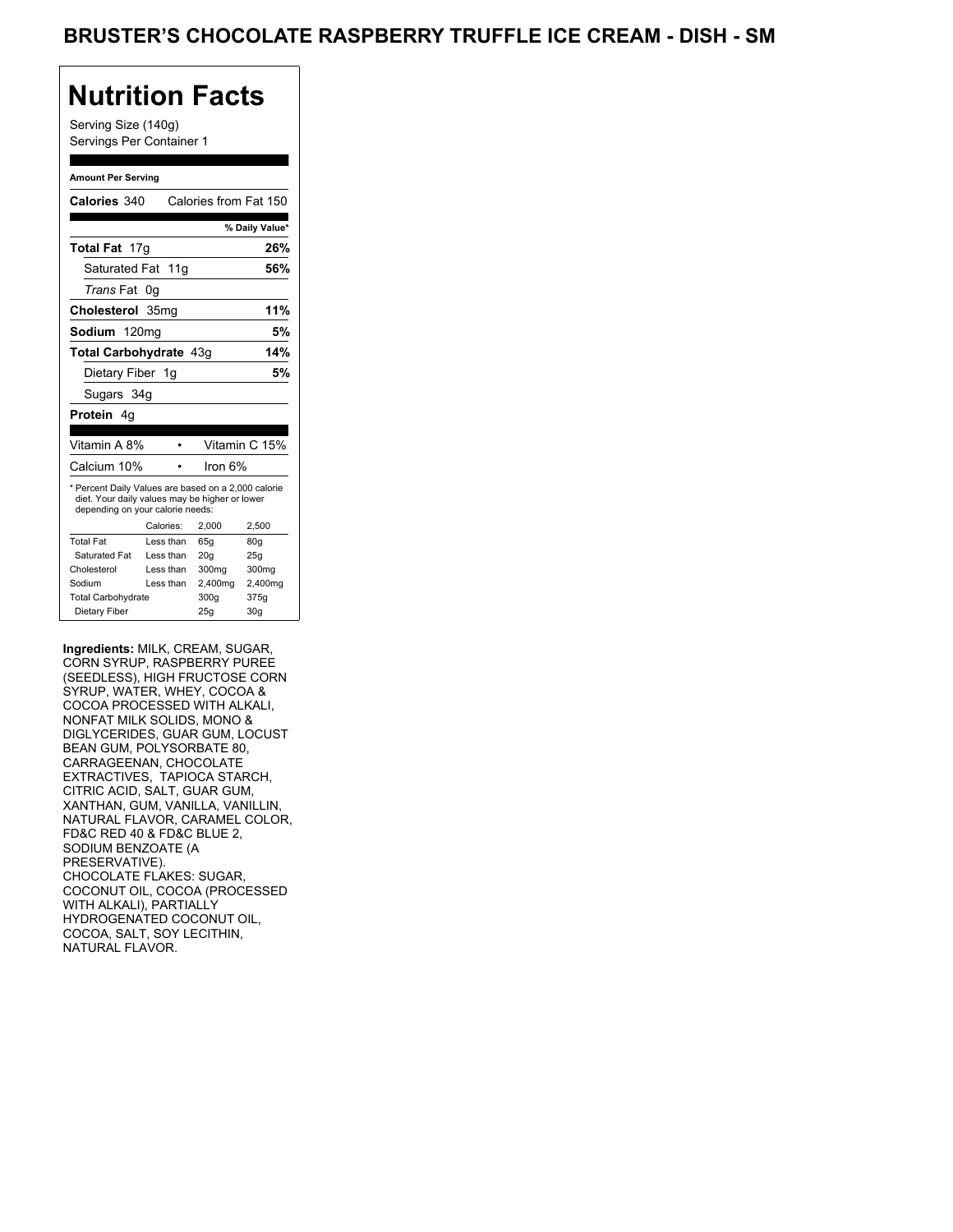Serving Size (140g) Servings Per Container 1

#### **Amount Per Serving**

| Calories 340                                                                                                                              |           | Calories from Fat 150 |                 |
|-------------------------------------------------------------------------------------------------------------------------------------------|-----------|-----------------------|-----------------|
|                                                                                                                                           |           |                       | % Daily Value*  |
| <b>Total Fat</b> 17g                                                                                                                      |           |                       | 26%             |
| Saturated Fat 11g                                                                                                                         |           |                       | 56%             |
| <i>Trans</i> Fat                                                                                                                          | 0g        |                       |                 |
| Cholesterol 35mg                                                                                                                          |           |                       | 11%             |
| Sodium 120mg                                                                                                                              |           |                       | 5%              |
| Total Carbohydrate 43q                                                                                                                    |           |                       | 14%             |
| Dietary Fiber 1g                                                                                                                          |           |                       | 5%              |
| Sugars 34g                                                                                                                                |           |                       |                 |
| <b>Protein</b> 4q                                                                                                                         |           |                       |                 |
|                                                                                                                                           |           |                       |                 |
| Vitamin A 8%                                                                                                                              |           |                       | Vitamin C 15%   |
| Calcium 10%                                                                                                                               |           | Iron 6%               |                 |
| * Percent Daily Values are based on a 2,000 calorie<br>diet. Your daily values may be higher or lower<br>depending on your calorie needs: |           |                       |                 |
|                                                                                                                                           | Calories: | 2.000                 | 2,500           |
| <b>Total Fat</b>                                                                                                                          | Less than | 65q                   | 80 <sub>g</sub> |
| Saturated Fat                                                                                                                             | Less than | 20q                   | 25q             |
| Cholesterol                                                                                                                               | Less than | 300 <sub>mq</sub>     | 300mg           |
|                                                                                                                                           | Less than | 2,400mg               | 2,400mg         |
| Sodium                                                                                                                                    |           |                       |                 |
| <b>Total Carbohydrate</b>                                                                                                                 |           | 300q                  | 375g            |

**Ingredients:** MILK, CREAM, SUGAR, CORN SYRUP, RASPBERRY PUREE (SEEDLESS), HIGH FRUCTOSE CORN SYRUP, WATER, WHEY, COCOA & COCOA PROCESSED WITH ALKALI, NONFAT MILK SOLIDS, MONO & DIGLYCERIDES, GUAR GUM, LOCUST BEAN GUM, POLYSORBATE 80, CARRAGEENAN, CHOCOLATE EXTRACTIVES, TAPIOCA STARCH, CITRIC ACID, SALT, GUAR GUM, XANTHAN, GUM, VANILLA, VANILLIN, NATURAL FLAVOR, CARAMEL COLOR, FD&C RED 40 & FD&C BLUE 2, SODIUM BENZOATE (A PRESERVATIVE). CHOCOLATE FLAKES: SUGAR, COCONUT OIL, COCOA (PROCESSED WITH ALKALI), PARTIALLY HYDROGENATED COCONUT OIL, COCOA, SALT, SOY LECITHIN, NATURAL FLAVOR.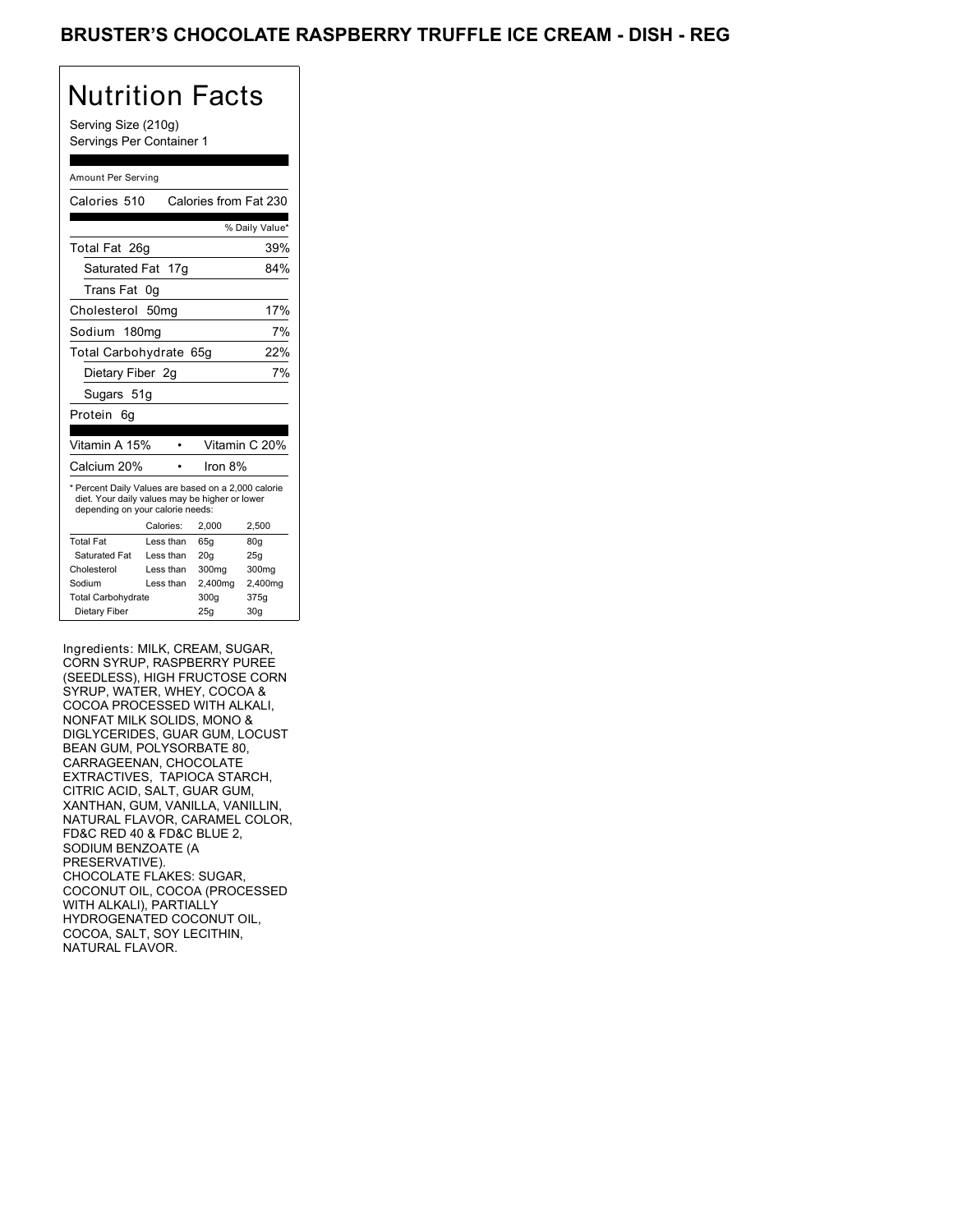Serving Size (210g) Servings Per Container 1

#### Amount Per Serving

| Calories 510                                                                                                                              |                  | Calories from Fat 230 |                 |
|-------------------------------------------------------------------------------------------------------------------------------------------|------------------|-----------------------|-----------------|
|                                                                                                                                           |                  |                       | % Daily Value*  |
| Total Fat 26g                                                                                                                             |                  |                       | 39%             |
| Saturated Fat 17g                                                                                                                         |                  |                       | 84%             |
| Trans Fat                                                                                                                                 | 0g               |                       |                 |
| Cholesterol                                                                                                                               | 50 <sub>mq</sub> |                       | 17%             |
| Sodium 180mg                                                                                                                              |                  |                       | 7%              |
| Total Carbohydrate 65g                                                                                                                    |                  |                       | 22%             |
| Dietary Fiber 2q                                                                                                                          |                  |                       | 7%              |
| Sugars 51g                                                                                                                                |                  |                       |                 |
| Protein<br>6a                                                                                                                             |                  |                       |                 |
| Vitamin A 15%                                                                                                                             |                  |                       | Vitamin C 20%   |
| Calcium 20%                                                                                                                               |                  | Iron 8%               |                 |
| * Percent Daily Values are based on a 2,000 calorie<br>diet. Your daily values may be higher or lower<br>depending on your calorie needs: |                  |                       |                 |
|                                                                                                                                           | Calories:        | 2.000                 | 2,500           |
| <b>Total Fat</b>                                                                                                                          | Less than        | 65q                   | 80 <sub>g</sub> |
| Saturated Fat                                                                                                                             | Less than        | 20q                   | 25g             |
| Cholesterol                                                                                                                               | Less than        | 300mg                 | 300mg           |
| Sodium                                                                                                                                    | Less than        | 2,400mg               | 2,400mg         |
| <b>Total Carbohydrate</b>                                                                                                                 |                  | 300q                  | 375g            |
| Dietary Fiber                                                                                                                             |                  | 25g                   | 30 <sub>g</sub> |

Ingredients: MILK, CREAM, SUGAR, CORN SYRUP, RASPBERRY PUREE (SEEDLESS), HIGH FRUCTOSE CORN SYRUP, WATER, WHEY, COCOA & COCOA PROCESSED WITH ALKALI, NONFAT MILK SOLIDS, MONO & DIGLYCERIDES, GUAR GUM, LOCUST BEAN GUM, POLYSORBATE 80, CARRAGEENAN, CHOCOLATE EXTRACTIVES, TAPIOCA STARCH, CITRIC ACID, SALT, GUAR GUM, XANTHAN, GUM, VANILLA, VANILLIN, NATURAL FLAVOR, CARAMEL COLOR, FD&C RED 40 & FD&C BLUE 2, SODIUM BENZOATE (A PRESERVATIVE). CHOCOLATE FLAKES: SUGAR, COCONUT OIL, COCOA (PROCESSED WITH ALKALI), PARTIALLY HYDROGENATED COCONUT OIL, COCOA, SALT, SOY LECITHIN, NATURAL FLAVOR.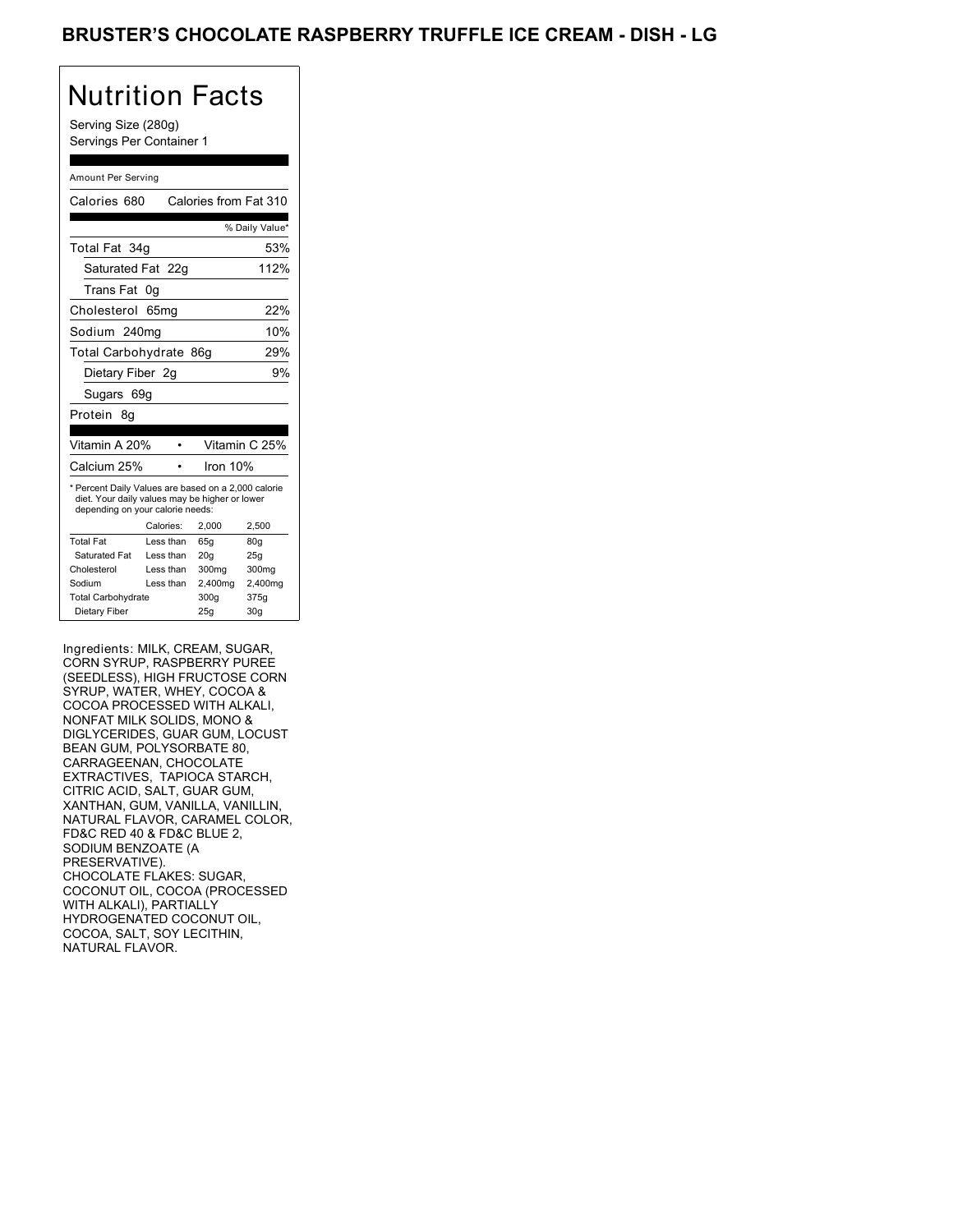Serving Size (280g) Servings Per Container 1

#### Amount Per Serving

| Calories 680<br>Calories from Fat 310<br>Total Fat 34g<br>Saturated Fat 22q<br>Trans Fat<br>0g<br>Cholesterol<br>65mg<br>Sodium 240mg<br>Total Carbohydrate 86g<br>Dietary Fiber 2q<br>Sugars 69g<br>Protein<br>8g<br>Vitamin C 25%<br>Vitamin A 20%<br>Calcium 25%<br>Iron 10% |                |  |  |  |
|---------------------------------------------------------------------------------------------------------------------------------------------------------------------------------------------------------------------------------------------------------------------------------|----------------|--|--|--|
|                                                                                                                                                                                                                                                                                 |                |  |  |  |
|                                                                                                                                                                                                                                                                                 | % Daily Value* |  |  |  |
|                                                                                                                                                                                                                                                                                 | 53%            |  |  |  |
|                                                                                                                                                                                                                                                                                 | 112%           |  |  |  |
|                                                                                                                                                                                                                                                                                 |                |  |  |  |
|                                                                                                                                                                                                                                                                                 | 22%            |  |  |  |
|                                                                                                                                                                                                                                                                                 | 10%            |  |  |  |
|                                                                                                                                                                                                                                                                                 | 29%            |  |  |  |
|                                                                                                                                                                                                                                                                                 | 9%             |  |  |  |
|                                                                                                                                                                                                                                                                                 |                |  |  |  |
|                                                                                                                                                                                                                                                                                 |                |  |  |  |
|                                                                                                                                                                                                                                                                                 |                |  |  |  |
|                                                                                                                                                                                                                                                                                 |                |  |  |  |
|                                                                                                                                                                                                                                                                                 |                |  |  |  |
| * Percent Daily Values are based on a 2,000 calorie<br>diet. Your daily values may be higher or lower<br>depending on your calorie needs:                                                                                                                                       |                |  |  |  |
| Calories:<br>2,000<br>2,500                                                                                                                                                                                                                                                     |                |  |  |  |
| <b>Total Fat</b><br>Less than<br>65g<br>80g                                                                                                                                                                                                                                     |                |  |  |  |
| Saturated Fat<br>Less than<br>20q<br>25g                                                                                                                                                                                                                                        |                |  |  |  |
| Cholesterol<br>Less than<br>300mg                                                                                                                                                                                                                                               |                |  |  |  |
| Sodium<br>Less than<br>2,400mg                                                                                                                                                                                                                                                  | 300mg          |  |  |  |
| <b>Total Carbohydrate</b><br>300q<br>375g                                                                                                                                                                                                                                       | 2,400mg        |  |  |  |
| 30 <sub>g</sub>                                                                                                                                                                                                                                                                 |                |  |  |  |

Ingredients: MILK, CREAM, SUGAR, CORN SYRUP, RASPBERRY PUREE (SEEDLESS), HIGH FRUCTOSE CORN SYRUP, WATER, WHEY, COCOA & COCOA PROCESSED WITH ALKALI, NONFAT MILK SOLIDS, MONO & DIGLYCERIDES, GUAR GUM, LOCUST BEAN GUM, POLYSORBATE 80, CARRAGEENAN, CHOCOLATE EXTRACTIVES, TAPIOCA STARCH, CITRIC ACID, SALT, GUAR GUM, XANTHAN, GUM, VANILLA, VANILLIN, NATURAL FLAVOR, CARAMEL COLOR, FD&C RED 40 & FD&C BLUE 2, SODIUM BENZOATE (A PRESERVATIVE). CHOCOLATE FLAKES: SUGAR, COCONUT OIL, COCOA (PROCESSED WITH ALKALI), PARTIALLY HYDROGENATED COCONUT OIL, COCOA, SALT, SOY LECITHIN, NATURAL FLAVOR.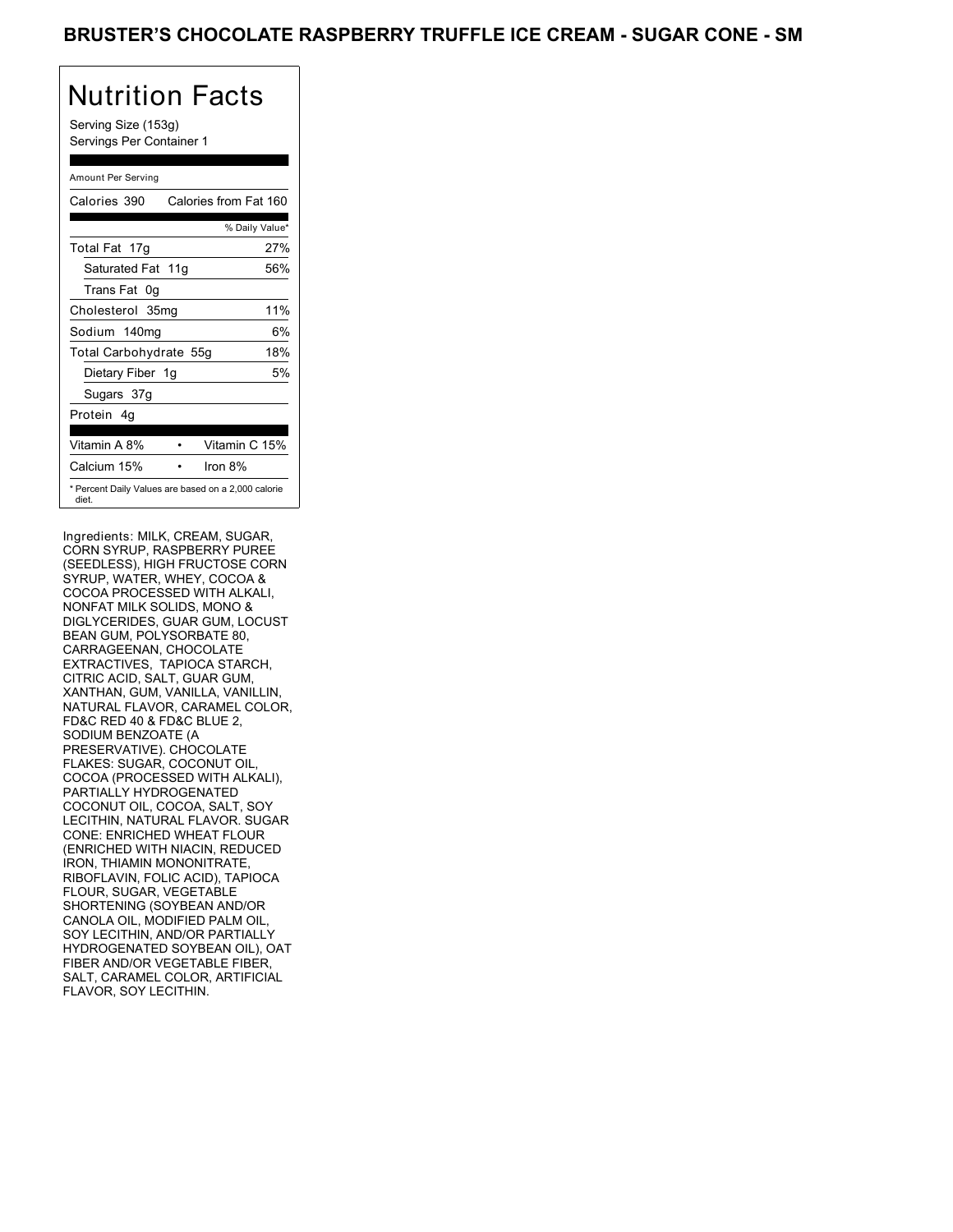Serving Size (153g) Servings Per Container 1

#### Amount Per Serving

| Calories 390                                                 | Calories from Fat 160 |     |
|--------------------------------------------------------------|-----------------------|-----|
|                                                              | % Daily Value*        |     |
| Total Fat 17g                                                |                       | 27% |
| Saturated Fat 11g                                            |                       | 56% |
| Trans Fat 0q                                                 |                       |     |
| Cholesterol 35mg                                             |                       | 11% |
| Sodium 140mg                                                 |                       | 6%  |
| Total Carbohydrate 55g                                       |                       | 18% |
| Dietary Fiber 1g                                             |                       | 5%  |
| Sugars 37g                                                   |                       |     |
| Protein 4q                                                   |                       |     |
| Vitamin A 8%                                                 | Vitamin C 15%         |     |
| Calcium 15%                                                  | Iron 8%               |     |
| * Percent Daily Values are based on a 2,000 calorie<br>diet. |                       |     |

Ingredients: MILK, CREAM, SUGAR, CORN SYRUP, RASPBERRY PUREE (SEEDLESS), HIGH FRUCTOSE CORN SYRUP, WATER, WHEY, COCOA & COCOA PROCESSED WITH ALKALI, NONFAT MILK SOLIDS, MONO & DIGLYCERIDES, GUAR GUM, LOCUST BEAN GUM, POLYSORBATE 80, CARRAGEENAN, CHOCOLATE EXTRACTIVES, TAPIOCA STARCH, CITRIC ACID, SALT, GUAR GUM, XANTHAN, GUM, VANILLA, VANILLIN, NATURAL FLAVOR, CARAMEL COLOR, FD&C RED 40 & FD&C BLUE 2, SODIUM BENZOATE (A PRESERVATIVE). CHOCOLATE FLAKES: SUGAR, COCONUT OIL, COCOA (PROCESSED WITH ALKALI), PARTIALLY HYDROGENATED COCONUT OIL, COCOA, SALT, SOY LECITHIN, NATURAL FLAVOR. SUGAR CONE: ENRICHED WHEAT FLOUR (ENRICHED WITH NIACIN, REDUCED IRON, THIAMIN MONONITRATE, RIBOFLAVIN, FOLIC ACID), TAPIOCA FLOUR, SUGAR, VEGETABLE SHORTENING (SOYBEAN AND/OR CANOLA OIL, MODIFIED PALM OIL, SOY LECITHIN, AND/OR PARTIALLY HYDROGENATED SOYBEAN OIL), OAT FIBER AND/OR VEGETABLE FIBER, SALT, CARAMEL COLOR, ARTIFICIAL FLAVOR, SOY LECITHIN.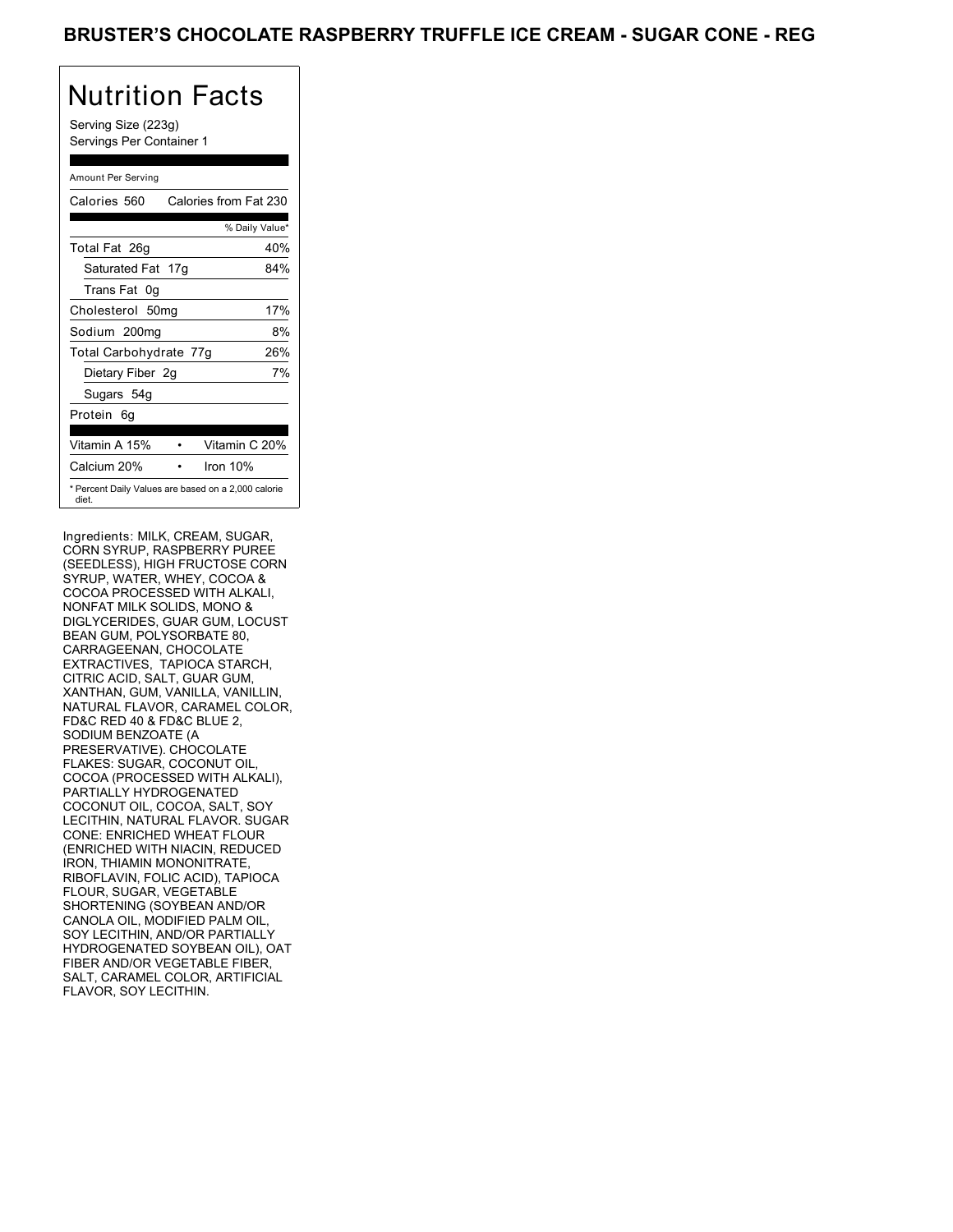Serving Size (223g) Servings Per Container 1

#### Amount Per Serving

| Calories 560                                                 | Calories from Fat 230 |                |     |
|--------------------------------------------------------------|-----------------------|----------------|-----|
|                                                              |                       | % Daily Value* |     |
| Total Fat 26g                                                |                       |                | 40% |
| Saturated Fat 17g                                            |                       |                | 84% |
| Trans Fat 0q                                                 |                       |                |     |
| Cholesterol 50mg                                             |                       |                | 17% |
| Sodium 200mg                                                 |                       |                | 8%  |
| Total Carbohydrate 77g                                       |                       |                | 26% |
| Dietary Fiber 2g                                             |                       |                | 7%  |
| Sugars 54g                                                   |                       |                |     |
| Protein 6q                                                   |                       |                |     |
| Vitamin A 15%                                                |                       | Vitamin C 20%  |     |
| Calcium 20%                                                  |                       | Iron $10%$     |     |
| * Percent Daily Values are based on a 2,000 calorie<br>diet. |                       |                |     |

Ingredients: MILK, CREAM, SUGAR, CORN SYRUP, RASPBERRY PUREE (SEEDLESS), HIGH FRUCTOSE CORN SYRUP, WATER, WHEY, COCOA & COCOA PROCESSED WITH ALKALI, NONFAT MILK SOLIDS, MONO & DIGLYCERIDES, GUAR GUM, LOCUST BEAN GUM, POLYSORBATE 80, CARRAGEENAN, CHOCOLATE EXTRACTIVES, TAPIOCA STARCH, CITRIC ACID, SALT, GUAR GUM, XANTHAN, GUM, VANILLA, VANILLIN, NATURAL FLAVOR, CARAMEL COLOR, FD&C RED 40 & FD&C BLUE 2, SODIUM BENZOATE (A PRESERVATIVE). CHOCOLATE FLAKES: SUGAR, COCONUT OIL, COCOA (PROCESSED WITH ALKALI), PARTIALLY HYDROGENATED COCONUT OIL, COCOA, SALT, SOY LECITHIN, NATURAL FLAVOR. SUGAR CONE: ENRICHED WHEAT FLOUR (ENRICHED WITH NIACIN, REDUCED IRON, THIAMIN MONONITRATE, RIBOFLAVIN, FOLIC ACID), TAPIOCA FLOUR, SUGAR, VEGETABLE SHORTENING (SOYBEAN AND/OR CANOLA OIL, MODIFIED PALM OIL, SOY LECITHIN, AND/OR PARTIALLY HYDROGENATED SOYBEAN OIL), OAT FIBER AND/OR VEGETABLE FIBER, SALT, CARAMEL COLOR, ARTIFICIAL FLAVOR, SOY LECITHIN.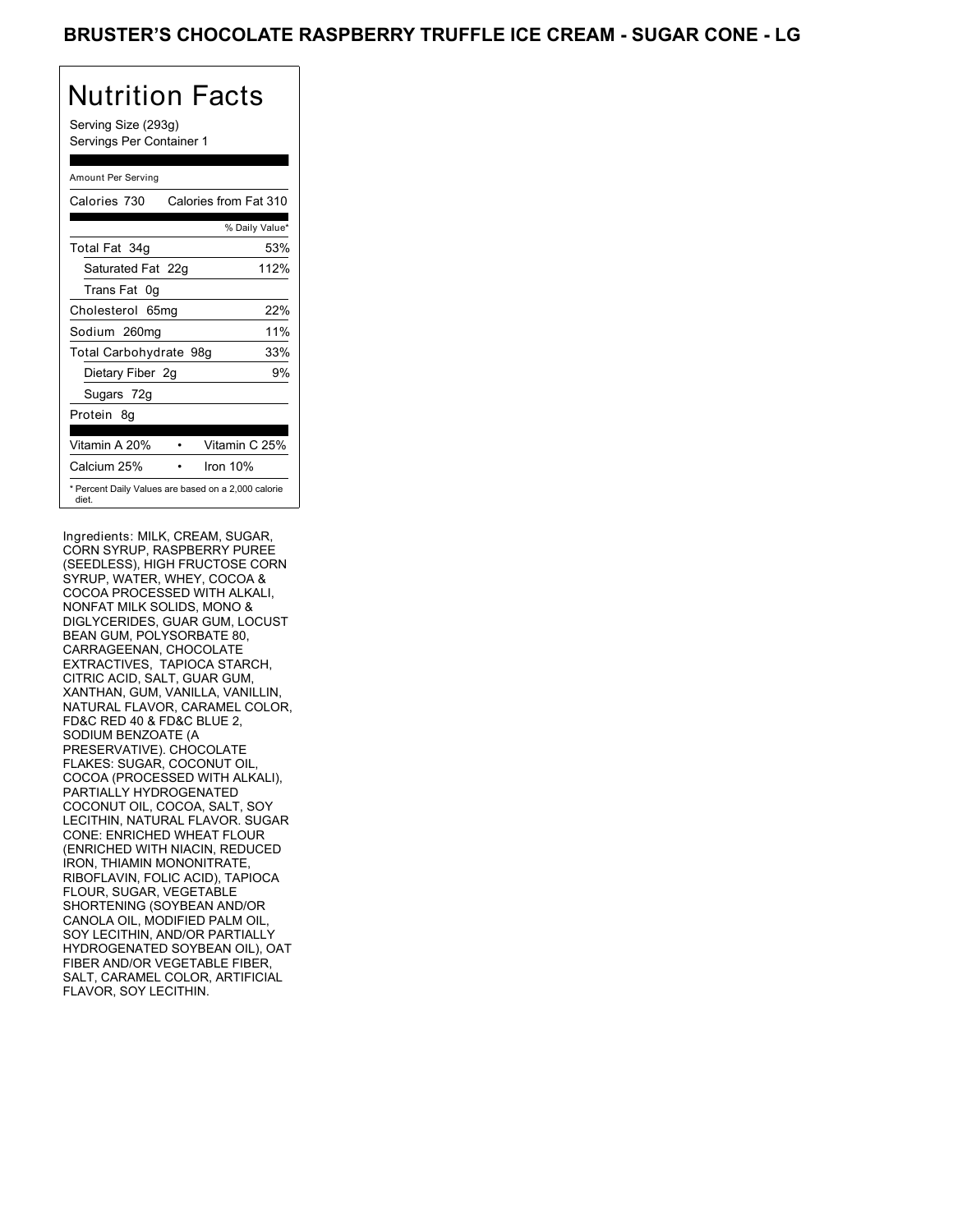Serving Size (293g) Servings Per Container 1

#### Amount Per Serving

| Calories 730                                                 | Calories from Fat 310 |      |
|--------------------------------------------------------------|-----------------------|------|
|                                                              | % Daily Value*        |      |
| Total Fat 34g                                                |                       | 53%  |
| Saturated Fat 22g                                            |                       | 112% |
| Trans Fat 0q                                                 |                       |      |
| Cholesterol 65mg                                             |                       | 22%  |
| Sodium 260mg                                                 |                       | 11%  |
| Total Carbohydrate 98g                                       |                       | 33%  |
| Dietary Fiber 2g                                             |                       | 9%   |
| Sugars 72g                                                   |                       |      |
| Protein 8q                                                   |                       |      |
|                                                              |                       |      |
| Vitamin A 20%                                                | Vitamin C 25%         |      |
| Calcium 25%                                                  | Iron 10%              |      |
| * Percent Daily Values are based on a 2,000 calorie<br>diet. |                       |      |

Ingredients: MILK, CREAM, SUGAR, CORN SYRUP, RASPBERRY PUREE (SEEDLESS), HIGH FRUCTOSE CORN SYRUP, WATER, WHEY, COCOA & COCOA PROCESSED WITH ALKALI, NONFAT MILK SOLIDS, MONO & DIGLYCERIDES, GUAR GUM, LOCUST BEAN GUM, POLYSORBATE 80, CARRAGEENAN, CHOCOLATE EXTRACTIVES, TAPIOCA STARCH, CITRIC ACID, SALT, GUAR GUM, XANTHAN, GUM, VANILLA, VANILLIN, NATURAL FLAVOR, CARAMEL COLOR, FD&C RED 40 & FD&C BLUE 2, SODIUM BENZOATE (A PRESERVATIVE). CHOCOLATE FLAKES: SUGAR, COCONUT OIL, COCOA (PROCESSED WITH ALKALI), PARTIALLY HYDROGENATED COCONUT OIL, COCOA, SALT, SOY LECITHIN, NATURAL FLAVOR. SUGAR CONE: ENRICHED WHEAT FLOUR (ENRICHED WITH NIACIN, REDUCED IRON, THIAMIN MONONITRATE, RIBOFLAVIN, FOLIC ACID), TAPIOCA FLOUR, SUGAR, VEGETABLE SHORTENING (SOYBEAN AND/OR CANOLA OIL, MODIFIED PALM OIL, SOY LECITHIN, AND/OR PARTIALLY HYDROGENATED SOYBEAN OIL), OAT FIBER AND/OR VEGETABLE FIBER, SALT, CARAMEL COLOR, ARTIFICIAL FLAVOR, SOY LECITHIN.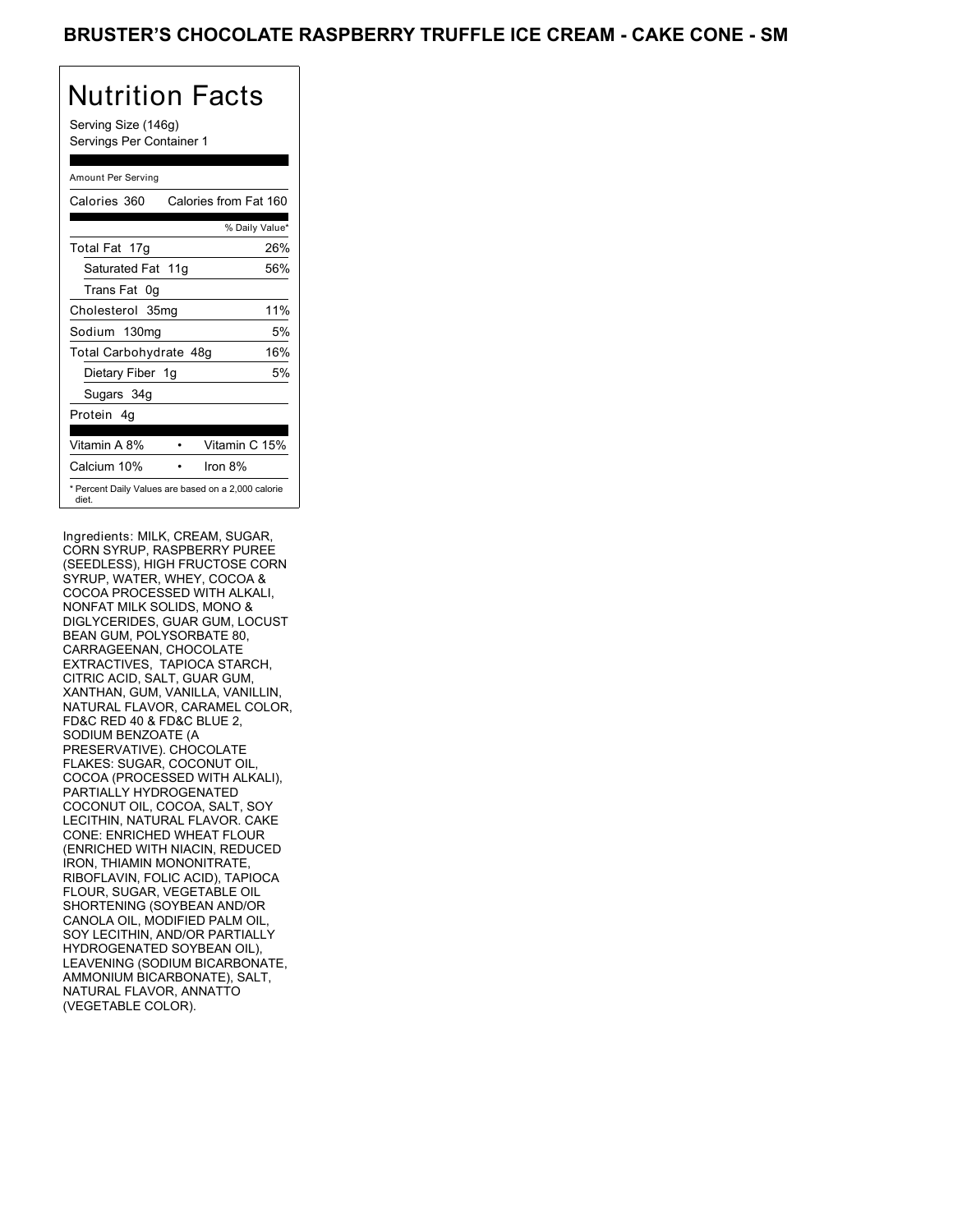Serving Size (146g) Servings Per Container 1

#### Amount Per Serving

| Calories 360                                                 | Calories from Fat 160 |     |
|--------------------------------------------------------------|-----------------------|-----|
|                                                              | % Daily Value*        |     |
| Total Fat 17g                                                |                       | 26% |
| Saturated Fat 11g                                            |                       | 56% |
| Trans Fat 0q                                                 |                       |     |
| Cholesterol 35mg                                             |                       | 11% |
| Sodium 130mg                                                 |                       | 5%  |
| Total Carbohydrate 48g                                       |                       | 16% |
| Dietary Fiber 1g                                             |                       | 5%  |
| Sugars 34g                                                   |                       |     |
| Protein 4q                                                   |                       |     |
| Vitamin A 8%                                                 | Vitamin C 15%         |     |
| Calcium 10%                                                  | Iron 8%               |     |
| * Percent Daily Values are based on a 2,000 calorie<br>diet. |                       |     |

Ingredients: MILK, CREAM, SUGAR, CORN SYRUP, RASPBERRY PUREE (SEEDLESS), HIGH FRUCTOSE CORN SYRUP, WATER, WHEY, COCOA & COCOA PROCESSED WITH ALKALI, NONFAT MILK SOLIDS, MONO & DIGLYCERIDES, GUAR GUM, LOCUST BEAN GUM, POLYSORBATE 80, CARRAGEENAN, CHOCOLATE EXTRACTIVES, TAPIOCA STARCH, CITRIC ACID, SALT, GUAR GUM, XANTHAN, GUM, VANILLA, VANILLIN, NATURAL FLAVOR, CARAMEL COLOR, FD&C RED 40 & FD&C BLUE 2, SODIUM BENZOATE (A PRESERVATIVE). CHOCOLATE FLAKES: SUGAR, COCONUT OIL, COCOA (PROCESSED WITH ALKALI), PARTIALLY HYDROGENATED COCONUT OIL, COCOA, SALT, SOY LECITHIN, NATURAL FLAVOR. CAKE CONE: ENRICHED WHEAT FLOUR (ENRICHED WITH NIACIN, REDUCED IRON, THIAMIN MONONITRATE, RIBOFLAVIN, FOLIC ACID), TAPIOCA FLOUR, SUGAR, VEGETABLE OIL SHORTENING (SOYBEAN AND/OR CANOLA OIL, MODIFIED PALM OIL, SOY LECITHIN, AND/OR PARTIALLY HYDROGENATED SOYBEAN OIL), LEAVENING (SODIUM BICARBONATE, AMMONIUM BICARBONATE), SALT, NATURAL FLAVOR, ANNATTO (VEGETABLE COLOR).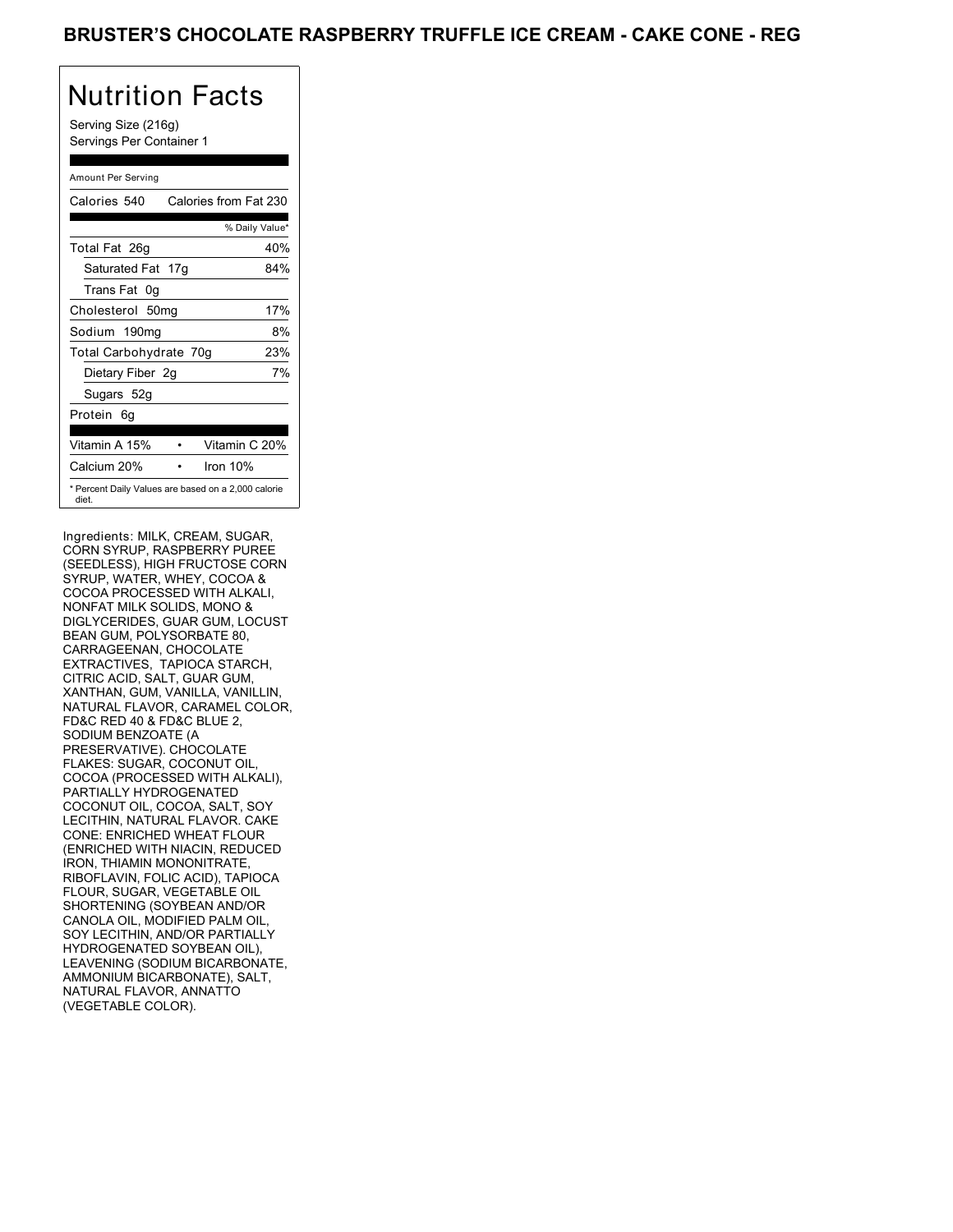Serving Size (216g) Servings Per Container 1

#### Amount Per Serving

| Calories 540           | Calories from Fat 230                               |
|------------------------|-----------------------------------------------------|
|                        | % Daily Value*                                      |
| Total Fat 26g          | 40%                                                 |
| Saturated Fat 17g      | 84%                                                 |
| Trans Fat 0q           |                                                     |
| Cholesterol 50mg       | 17%                                                 |
| Sodium 190mg           | 8%                                                  |
| Total Carbohydrate 70g | 23%                                                 |
| Dietary Fiber 2g       | 7%                                                  |
| Sugars 52g             |                                                     |
| Protein 6q             |                                                     |
| Vitamin A 15%          | Vitamin C 20%                                       |
| Calcium 20%            | Iron 10%                                            |
| diet.                  | * Percent Daily Values are based on a 2,000 calorie |

Ingredients: MILK, CREAM, SUGAR, CORN SYRUP, RASPBERRY PUREE (SEEDLESS), HIGH FRUCTOSE CORN SYRUP, WATER, WHEY, COCOA & COCOA PROCESSED WITH ALKALI, NONFAT MILK SOLIDS, MONO & DIGLYCERIDES, GUAR GUM, LOCUST BEAN GUM, POLYSORBATE 80, CARRAGEENAN, CHOCOLATE EXTRACTIVES, TAPIOCA STARCH, CITRIC ACID, SALT, GUAR GUM, XANTHAN, GUM, VANILLA, VANILLIN, NATURAL FLAVOR, CARAMEL COLOR, FD&C RED 40 & FD&C BLUE 2, SODIUM BENZOATE (A PRESERVATIVE). CHOCOLATE FLAKES: SUGAR, COCONUT OIL, COCOA (PROCESSED WITH ALKALI), PARTIALLY HYDROGENATED COCONUT OIL, COCOA, SALT, SOY LECITHIN, NATURAL FLAVOR. CAKE CONE: ENRICHED WHEAT FLOUR (ENRICHED WITH NIACIN, REDUCED IRON, THIAMIN MONONITRATE, RIBOFLAVIN, FOLIC ACID), TAPIOCA FLOUR, SUGAR, VEGETABLE OIL SHORTENING (SOYBEAN AND/OR CANOLA OIL, MODIFIED PALM OIL, SOY LECITHIN, AND/OR PARTIALLY HYDROGENATED SOYBEAN OIL), LEAVENING (SODIUM BICARBONATE, AMMONIUM BICARBONATE), SALT, NATURAL FLAVOR, ANNATTO (VEGETABLE COLOR).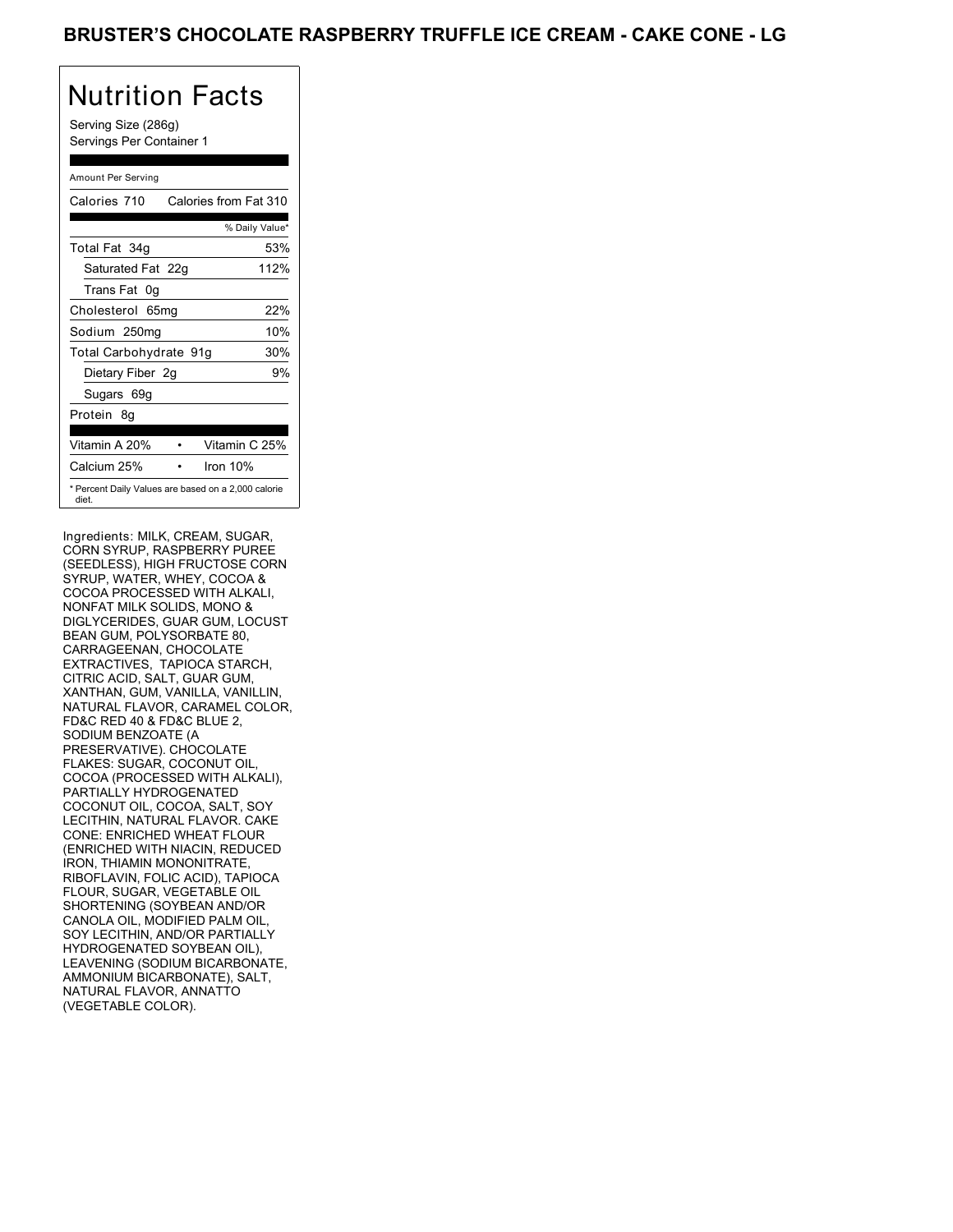Serving Size (286g) Servings Per Container 1

#### Amount Per Serving

| Calories 710           | Calories from Fat 310                               |
|------------------------|-----------------------------------------------------|
|                        | % Daily Value*                                      |
| Total Fat 34g          | 53%                                                 |
| Saturated Fat 22g      | 112%                                                |
| Trans Fat 0q           |                                                     |
| Cholesterol 65mg       | 22%                                                 |
| Sodium 250mg           | 10%                                                 |
| Total Carbohydrate 91g | 30%                                                 |
| Dietary Fiber 2g       | 9%                                                  |
| Sugars 69g             |                                                     |
| Protein 8q             |                                                     |
|                        |                                                     |
| Vitamin A 20%          | Vitamin C 25%                                       |
| Calcium 25%            | Iron $10%$                                          |
| diet.                  | * Percent Daily Values are based on a 2,000 calorie |

Ingredients: MILK, CREAM, SUGAR, CORN SYRUP, RASPBERRY PUREE (SEEDLESS), HIGH FRUCTOSE CORN SYRUP, WATER, WHEY, COCOA & COCOA PROCESSED WITH ALKALI, NONFAT MILK SOLIDS, MONO & DIGLYCERIDES, GUAR GUM, LOCUST BEAN GUM, POLYSORBATE 80, CARRAGEENAN, CHOCOLATE EXTRACTIVES, TAPIOCA STARCH, CITRIC ACID, SALT, GUAR GUM, XANTHAN, GUM, VANILLA, VANILLIN, NATURAL FLAVOR, CARAMEL COLOR, FD&C RED 40 & FD&C BLUE 2, SODIUM BENZOATE (A PRESERVATIVE). CHOCOLATE FLAKES: SUGAR, COCONUT OIL, COCOA (PROCESSED WITH ALKALI), PARTIALLY HYDROGENATED COCONUT OIL, COCOA, SALT, SOY LECITHIN, NATURAL FLAVOR. CAKE CONE: ENRICHED WHEAT FLOUR (ENRICHED WITH NIACIN, REDUCED IRON, THIAMIN MONONITRATE, RIBOFLAVIN, FOLIC ACID), TAPIOCA FLOUR, SUGAR, VEGETABLE OIL SHORTENING (SOYBEAN AND/OR CANOLA OIL, MODIFIED PALM OIL, SOY LECITHIN, AND/OR PARTIALLY HYDROGENATED SOYBEAN OIL), LEAVENING (SODIUM BICARBONATE, AMMONIUM BICARBONATE), SALT, NATURAL FLAVOR, ANNATTO (VEGETABLE COLOR).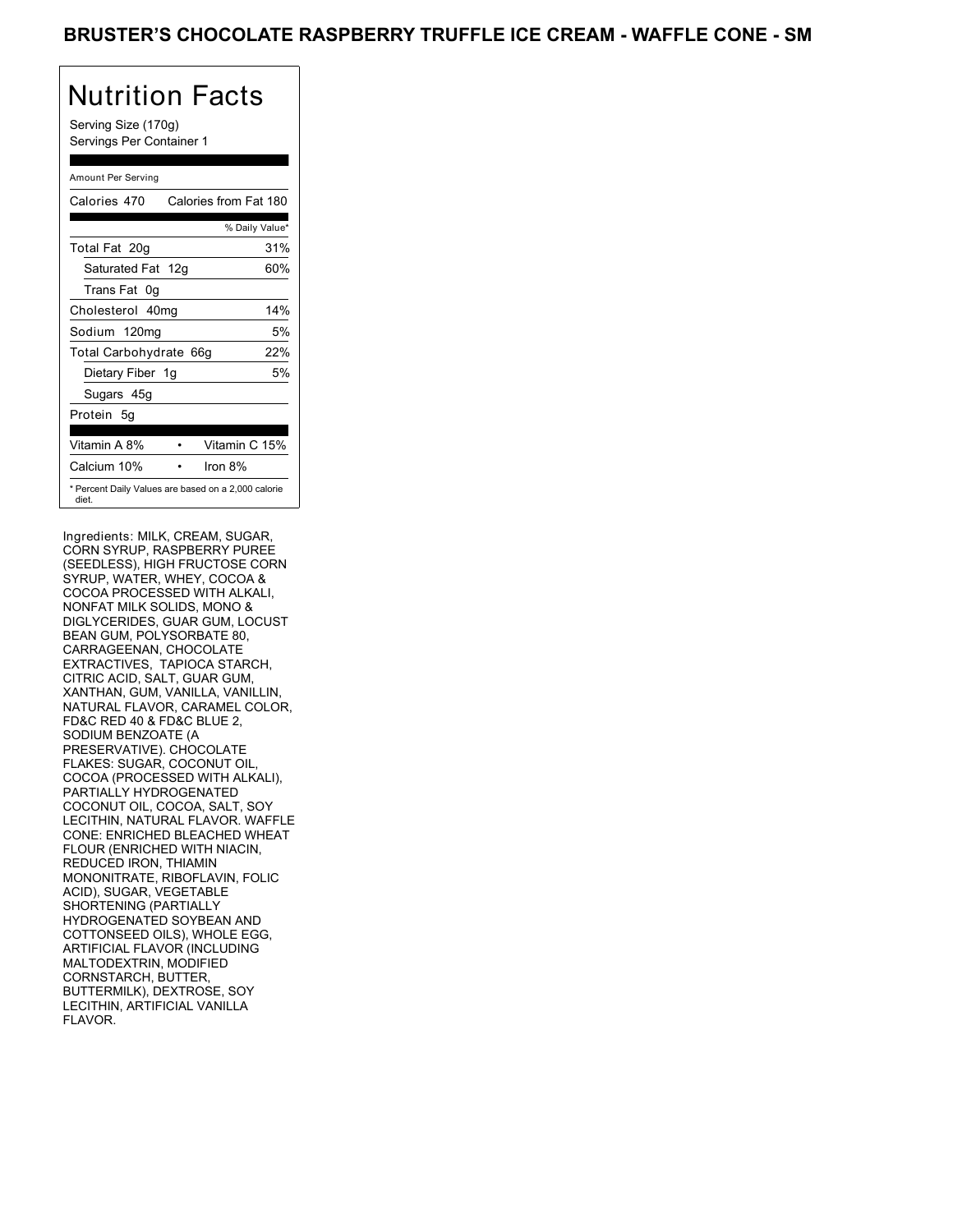Serving Size (170g) Servings Per Container 1

#### Amount Per Serving

| Calories 470                                                 | Calories from Fat 180 |     |
|--------------------------------------------------------------|-----------------------|-----|
|                                                              | % Daily Value*        |     |
| Total Fat 20g                                                |                       | 31% |
| Saturated Fat 12g                                            |                       | 60% |
| Trans Fat 0q                                                 |                       |     |
| Cholesterol 40mg                                             |                       | 14% |
| Sodium 120mg                                                 |                       | 5%  |
| Total Carbohydrate 66g                                       |                       | 22% |
| Dietary Fiber 1g                                             |                       | 5%  |
| Sugars 45g                                                   |                       |     |
| Protein 5q                                                   |                       |     |
| Vitamin A 8%                                                 | Vitamin C 15%         |     |
| Calcium 10%                                                  | Iron $8\%$            |     |
| * Percent Daily Values are based on a 2,000 calorie<br>diet. |                       |     |

Ingredients: MILK, CREAM, SUGAR, CORN SYRUP, RASPBERRY PUREE (SEEDLESS), HIGH FRUCTOSE CORN SYRUP, WATER, WHEY, COCOA & COCOA PROCESSED WITH ALKALI, NONFAT MILK SOLIDS, MONO & DIGLYCERIDES, GUAR GUM, LOCUST BEAN GUM, POLYSORBATE 80, CARRAGEENAN, CHOCOLATE EXTRACTIVES, TAPIOCA STARCH, CITRIC ACID, SALT, GUAR GUM, XANTHAN, GUM, VANILLA, VANILLIN, NATURAL FLAVOR, CARAMEL COLOR, FD&C RED 40 & FD&C BLUE 2, SODIUM BENZOATE (A PRESERVATIVE). CHOCOLATE FLAKES: SUGAR, COCONUT OIL, COCOA (PROCESSED WITH ALKALI), PARTIALLY HYDROGENATED COCONUT OIL, COCOA, SALT, SOY LECITHIN, NATURAL FLAVOR. WAFFLE CONE: ENRICHED BLEACHED WHEAT FLOUR (ENRICHED WITH NIACIN, REDUCED IRON, THIAMIN MONONITRATE, RIBOFLAVIN, FOLIC ACID), SUGAR, VEGETABLE SHORTENING (PARTIALLY HYDROGENATED SOYBEAN AND COTTONSEED OILS), WHOLE EGG, ARTIFICIAL FLAVOR (INCLUDING MALTODEXTRIN, MODIFIED CORNSTARCH, BUTTER, BUTTERMILK), DEXTROSE, SOY LECITHIN, ARTIFICIAL VANILLA FLAVOR.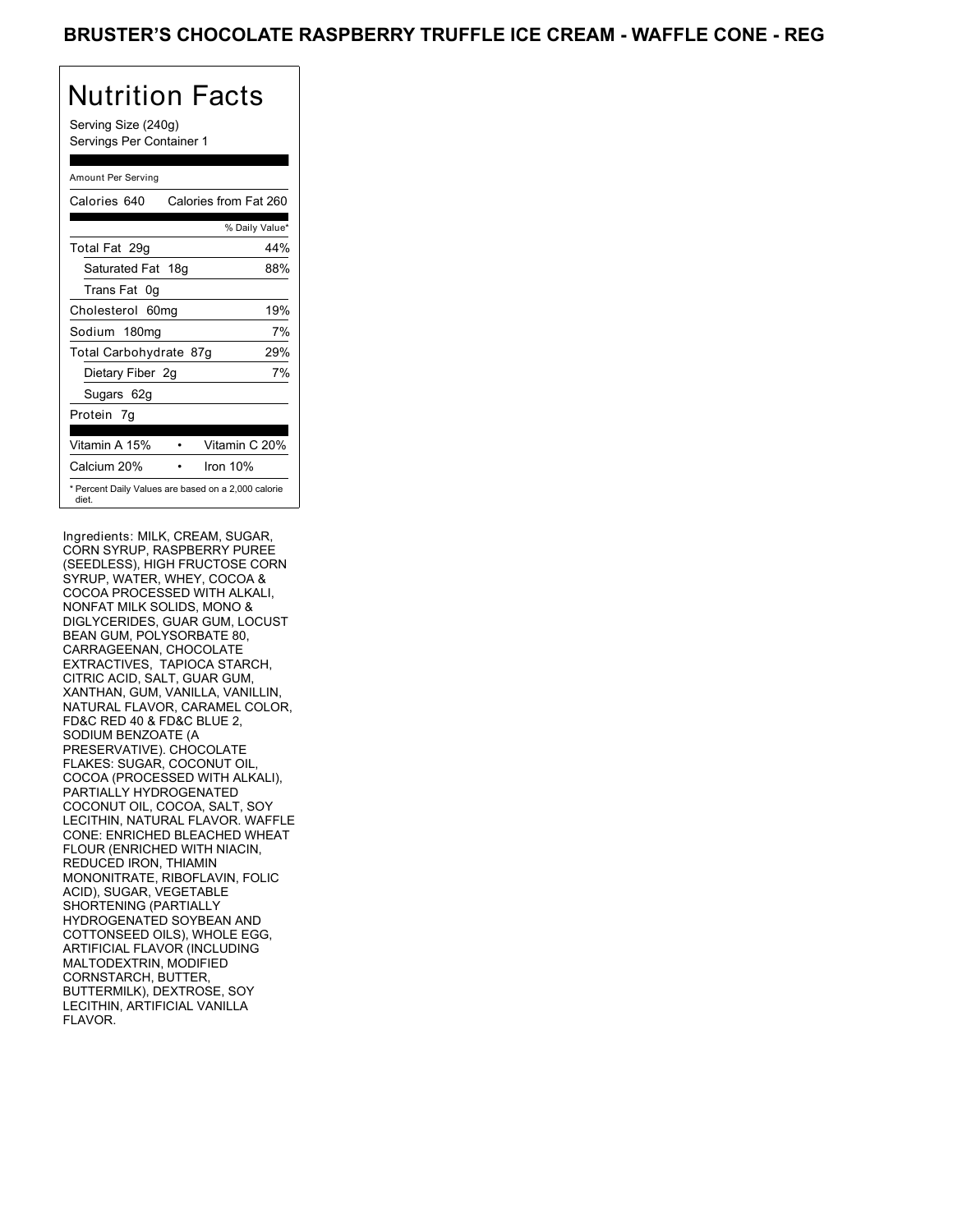Serving Size (240g) Servings Per Container 1

#### Amount Per Serving

| Calories 640                                                 | Calories from Fat 260 |     |
|--------------------------------------------------------------|-----------------------|-----|
|                                                              | % Daily Value*        |     |
| Total Fat 29g                                                |                       | 44% |
| Saturated Fat 18g                                            |                       | 88% |
| Trans Fat 0q                                                 |                       |     |
| Cholesterol 60mg                                             |                       | 19% |
| Sodium 180mg                                                 |                       | 7%  |
| Total Carbohydrate 87g                                       |                       | 29% |
| Dietary Fiber 2g                                             |                       | 7%  |
| Sugars 62g                                                   |                       |     |
| Protein 7q                                                   |                       |     |
| Vitamin A 15%                                                | Vitamin C 20%         |     |
| Calcium 20%                                                  | Iron 10%              |     |
| * Percent Daily Values are based on a 2,000 calorie<br>diet. |                       |     |

Ingredients: MILK, CREAM, SUGAR, CORN SYRUP, RASPBERRY PUREE (SEEDLESS), HIGH FRUCTOSE CORN SYRUP, WATER, WHEY, COCOA & COCOA PROCESSED WITH ALKALI, NONFAT MILK SOLIDS, MONO & DIGLYCERIDES, GUAR GUM, LOCUST BEAN GUM, POLYSORBATE 80, CARRAGEENAN, CHOCOLATE EXTRACTIVES, TAPIOCA STARCH, CITRIC ACID, SALT, GUAR GUM, XANTHAN, GUM, VANILLA, VANILLIN, NATURAL FLAVOR, CARAMEL COLOR, FD&C RED 40 & FD&C BLUE 2, SODIUM BENZOATE (A PRESERVATIVE). CHOCOLATE FLAKES: SUGAR, COCONUT OIL, COCOA (PROCESSED WITH ALKALI), PARTIALLY HYDROGENATED COCONUT OIL, COCOA, SALT, SOY LECITHIN, NATURAL FLAVOR. WAFFLE CONE: ENRICHED BLEACHED WHEAT FLOUR (ENRICHED WITH NIACIN, REDUCED IRON, THIAMIN MONONITRATE, RIBOFLAVIN, FOLIC ACID), SUGAR, VEGETABLE SHORTENING (PARTIALLY HYDROGENATED SOYBEAN AND COTTONSEED OILS), WHOLE EGG, ARTIFICIAL FLAVOR (INCLUDING MALTODEXTRIN, MODIFIED CORNSTARCH, BUTTER, BUTTERMILK), DEXTROSE, SOY LECITHIN, ARTIFICIAL VANILLA FLAVOR.